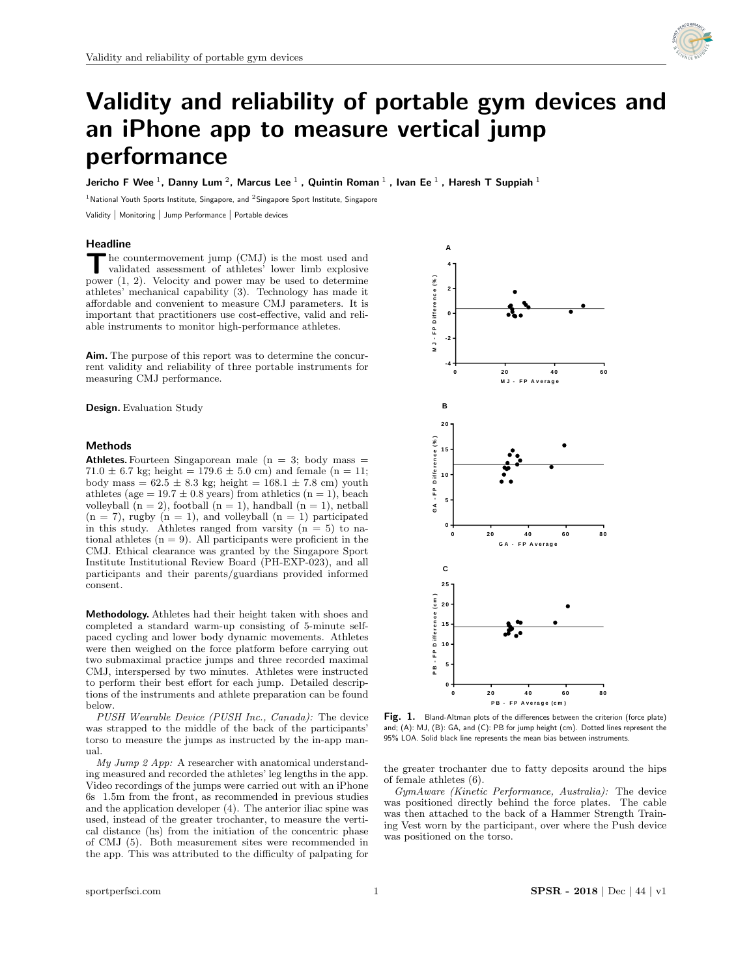

# Validity and reliability of portable gym devices and an iPhone app to measure vertical jump performance

Jericho F Wee  $^1$ , Danny Lum  $^2$ , Marcus Lee  $^1$  , Quintin Roman  $^1$  , Ivan Ee  $^1$  , Haresh T Suppiah  $^1$ 

<sup>1</sup> National Youth Sports Institute, Singapore, and <sup>2</sup> Singapore Sport Institute, Singapore

Validity | Monitoring | Jump Performance | Portable devices

## Headline

The countermovement jump (CMJ) is the most used and validated assessment of athletes' lower limb explosive power  $(1, 2)$ . Velocity and power may be used to determine he countermovement jump (CMJ) is the most used and validated assessment of athletes' lower limb explosive athletes' mechanical capability (3). Technology has made it affordable and convenient to measure CMJ parameters. It is important that practitioners use cost-effective, valid and reliable instruments to monitor high-performance athletes.

Aim. The purpose of this report was to determine the concurrent validity and reliability of three portable instruments for measuring CMJ performance.

Design. Evaluation Study

# Methods

Athletes. Fourteen Singaporean male  $(n = 3;$  body mass  $=$ 71.0  $\pm$  6.7 kg; height = 179.6  $\pm$  5.0 cm) and female (n = 11; body mass =  $62.5 \pm 8.3$  kg; height =  $168.1 \pm 7.8$  cm) youth athletes (age =  $19.7 \pm 0.8$  years) from athletics (n = 1), beach volleyball  $(n = 2)$ , football  $(n = 1)$ , handball  $(n = 1)$ , netball  $(n = 7)$ , rugby  $(n = 1)$ , and volleyball  $(n = 1)$  participated in this study. Athletes ranged from varsity  $(n = 5)$  to national athletes  $(n = 9)$ . All participants were proficient in the CMJ. Ethical clearance was granted by the Singapore Sport Institute Institutional Review Board (PH-EXP-023), and all participants and their parents/guardians provided informed consent.

Methodology. Athletes had their height taken with shoes and completed a standard warm-up consisting of 5-minute selfpaced cycling and lower body dynamic movements. Athletes were then weighed on the force platform before carrying out two submaximal practice jumps and three recorded maximal CMJ, interspersed by two minutes. Athletes were instructed to perform their best effort for each jump. Detailed descriptions of the instruments and athlete preparation can be found below.

PUSH Wearable Device (PUSH Inc., Canada): The device was strapped to the middle of the back of the participants' torso to measure the jumps as instructed by the in-app manual.

 $My \; Jump \; 2 \; App: A \; researcher \; with \; anatomical \; understand$ ing measured and recorded the athletes' leg lengths in the app. Video recordings of the jumps were carried out with an iPhone 6s 1.5m from the front, as recommended in previous studies and the application developer (4). The anterior iliac spine was used, instead of the greater trochanter, to measure the vertical distance (hs) from the initiation of the concentric phase of CMJ (5). Both measurement sites were recommended in the app. This was attributed to the difficulty of palpating for



 $d\alpha$ ): The device **Fig. 1.** Bland-Altman plots of the differences between the criterion (force plate) Ite participarities and the 95% LOA. Solid black line represents the mean bias between instruments. and; (A): MJ, (B): GA, and (C): PB for jump height (cm). Dotted lines represent the

the greater trochanter due to fatty deposits around the hips of female athletes (6).

GymAware (Kinetic Performance, Australia): The device was positioned directly behind the force plates. The cable was then attached to the back of a Hammer Strength Training Vest worn by the participant, over where the Push device was positioned on the torso.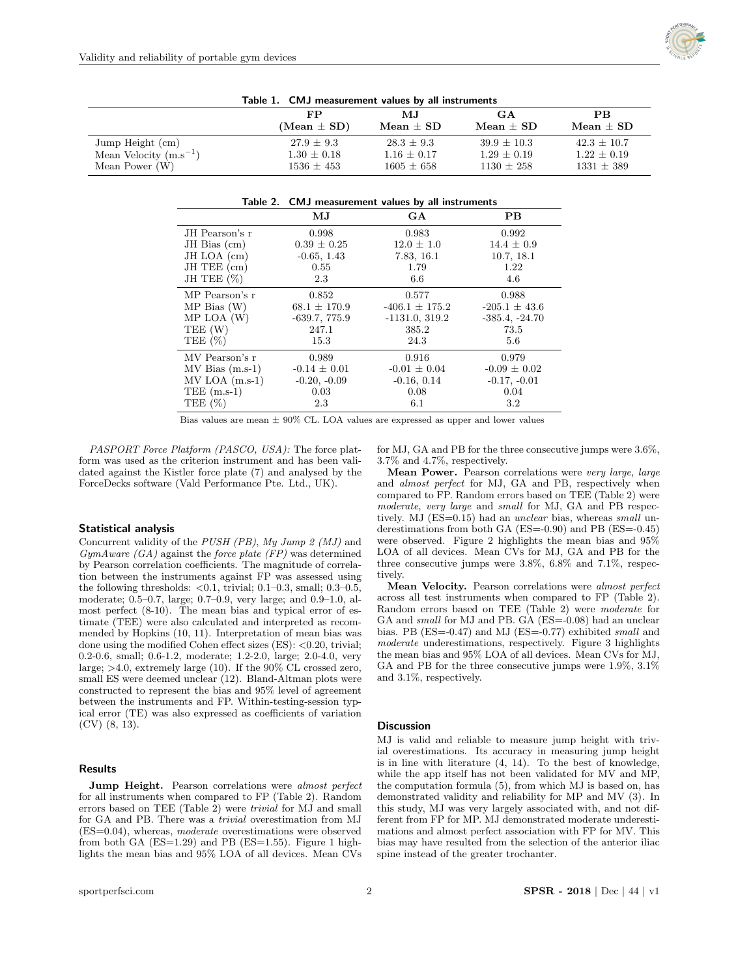

| Table 1. Civil measurement values by an instruments |                 |                 |                 |                 |  |
|-----------------------------------------------------|-----------------|-----------------|-----------------|-----------------|--|
|                                                     | FP              | MJ.             | GA              | <b>PB</b>       |  |
|                                                     | $(Mean \pm SD)$ | $Mean \pm SD$   | $Mean \pm SD$   | Mean $\pm$ SD   |  |
| Jump Height (cm)                                    | $27.9 \pm 9.3$  | $28.3 \pm 9.3$  | $39.9 + 10.3$   | $42.3 \pm 10.7$ |  |
| Mean Velocity $(m.s^{-1})$                          | $1.30 \pm 0.18$ | $1.16 \pm 0.17$ | $1.29 \pm 0.19$ | $1.22 \pm 0.19$ |  |
| Mean Power $(W)$                                    | $1536 + 453$    | $1605 \pm 658$  | $1130 + 258$    | $1331 \pm 389$  |  |

Table 1. CMJ measurement values by all instruments

|                     | Table 2. CMJ measurement values by all instruments |                    |                   |  |
|---------------------|----------------------------------------------------|--------------------|-------------------|--|
|                     | $\mathbf{M} \mathbf{J}$                            | GA                 | PB.               |  |
| JH Pearson's r      | 0.998                                              | 0.983              | 0.992             |  |
| $JH$ Bias $(cm)$    | $0.39 \pm 0.25$                                    | $12.0 \pm 1.0$     | $14.4 \pm 0.9$    |  |
| JH LOA (cm)         | $-0.65, 1.43$                                      | 7.83, 16.1         | 10.7, 18.1        |  |
| $JH$ TEE $(cm)$     | 0.55                                               | 1.79               | 1.22              |  |
| JH TEE $(\%)$       | 2.3                                                | 6.6                | 4.6               |  |
| MP Pearson's r      | 0.852                                              | 0.577              | 0.988             |  |
| MP Bias(W)          | $68.1 \pm 170.9$                                   | $-406.1 \pm 175.2$ | $-205.1 \pm 43.6$ |  |
| MP LOA (W)          | $-639.7, 775.9$                                    | $-1131.0, 319.2$   | $-385.4, -24.70$  |  |
| TEE (W)             | 247.1                                              | 385.2              | 73.5              |  |
| TEE $(\%)$          | 15.3                                               | 24.3               | 5.6               |  |
| MV Pearson's r      | 0.989                                              | 0.916              | 0.979             |  |
| $MV$ Bias $(m.s-1)$ | $-0.14 \pm 0.01$                                   | $-0.01 \pm 0.04$   | $-0.09 \pm 0.02$  |  |
| $MV LOA (m.s-1)$    | $-0.20, -0.09$                                     | $-0.16, 0.14$      | $-0.17, -0.01$    |  |
| TEE $(m.s-1)$       | 0.03                                               | 0.08               | 0.04              |  |
| TEE $(\%)$          | 2.3                                                | 6.1                | 3.2               |  |

Bias values are mean  $\pm$  90% CL. LOA values are expressed as upper and lower values

PASPORT Force Platform (PASCO, USA): The force platform was used as the criterion instrument and has been validated against the Kistler force plate (7) and analysed by the ForceDecks software (Vald Performance Pte. Ltd., UK).

### Statistical analysis

Concurrent validity of the PUSH (PB), My Jump 2 (MJ) and  $GymAware$  (GA) against the force plate (FP) was determined by Pearson correlation coefficients. The magnitude of correlation between the instruments against FP was assessed using the following thresholds:  $< 0.1$ , trivial; 0.1–0.3, small; 0.3–0.5, moderate; 0.5–0.7, large; 0.7–0.9, very large; and 0.9–1.0, almost perfect (8-10). The mean bias and typical error of estimate (TEE) were also calculated and interpreted as recommended by Hopkins (10, 11). Interpretation of mean bias was done using the modified Cohen effect sizes (ES): <0.20, trivial; 0.2-0.6, small; 0.6-1.2, moderate; 1.2-2.0, large; 2.0-4.0, very large; >4.0, extremely large (10). If the 90% CL crossed zero, small ES were deemed unclear (12). Bland-Altman plots were constructed to represent the bias and 95% level of agreement between the instruments and FP. Within-testing-session typical error (TE) was also expressed as coefficients of variation (CV) (8, 13).

#### Results

Jump Height. Pearson correlations were *almost perfect* for all instruments when compared to FP (Table 2). Random errors based on TEE (Table 2) were trivial for MJ and small for GA and PB. There was a trivial overestimation from MJ (ES=0.04), whereas, moderate overestimations were observed from both GA  $(ES=1.29)$  and PB  $(ES=1.55)$ . Figure 1 highlights the mean bias and 95% LOA of all devices. Mean CVs

for MJ, GA and PB for the three consecutive jumps were 3.6%, 3.7% and 4.7%, respectively.

Mean Power. Pearson correlations were very large, large and almost perfect for MJ, GA and PB, respectively when compared to FP. Random errors based on TEE (Table 2) were moderate, very large and small for MJ, GA and PB respectively. MJ  $(ES=0.15)$  had an *unclear* bias, whereas *small* underestimations from both GA (ES=-0.90) and PB (ES=-0.45) were observed. Figure 2 highlights the mean bias and 95% LOA of all devices. Mean CVs for MJ, GA and PB for the three consecutive jumps were 3.8%, 6.8% and 7.1%, respectively.

Mean Velocity. Pearson correlations were almost perfect across all test instruments when compared to FP (Table 2). Random errors based on TEE (Table 2) were moderate for GA and *small* for MJ and PB. GA (ES=-0.08) had an unclear bias. PB (ES=-0.47) and MJ (ES=-0.77) exhibited small and moderate underestimations, respectively. Figure 3 highlights the mean bias and 95% LOA of all devices. Mean CVs for MJ, GA and PB for the three consecutive jumps were 1.9%, 3.1% and 3.1%, respectively.

## **Discussion**

MJ is valid and reliable to measure jump height with trivial overestimations. Its accuracy in measuring jump height is in line with literature (4, 14). To the best of knowledge, while the app itself has not been validated for MV and MP, the computation formula (5), from which MJ is based on, has demonstrated validity and reliability for MP and MV (3). In this study, MJ was very largely associated with, and not different from FP for MP. MJ demonstrated moderate underestimations and almost perfect association with FP for MV. This bias may have resulted from the selection of the anterior iliac spine instead of the greater trochanter.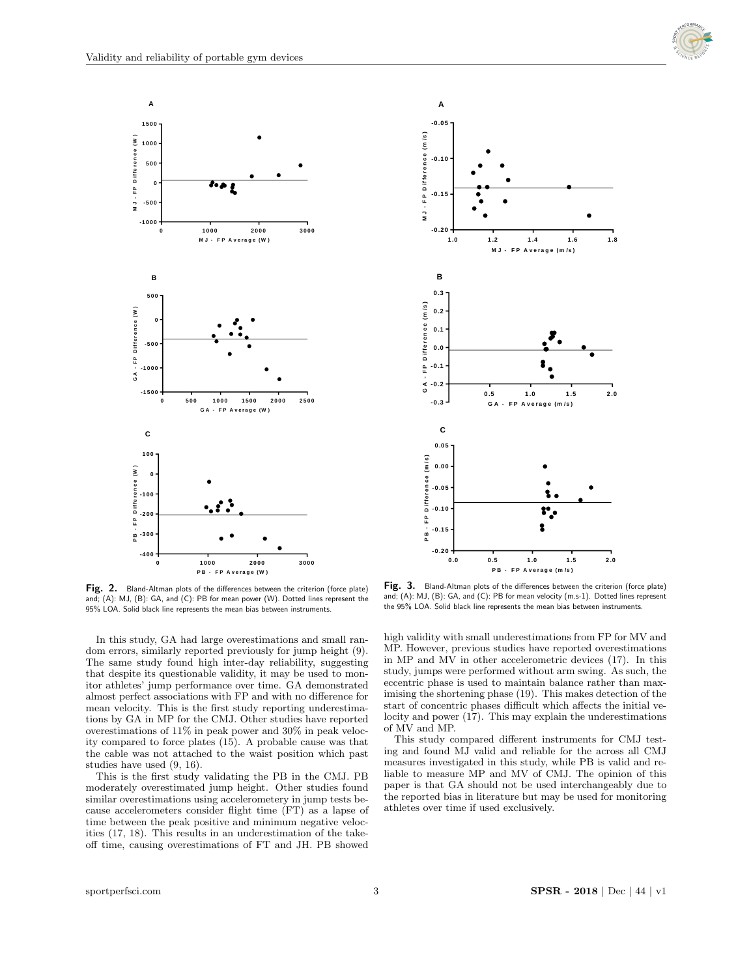



**P B - F P A <sup>v</sup> <sup>e</sup> ra g e(W ) Fig. 2.** Bland-Altman plots of the differences between the criterion (force plate) **Fig. 3.** Bland-Altman plots of the differences between the criterion (force plate) **Fig. 3.** Bland-Altman plots of the differences betwe and; (A): MJ, (B): GA, and (C): PB for mean power (W). Dotted lines represent the and; (A): MJ, (B): GA, and (C): PB for mean power (W). Dotted lines represent the  $\frac{4}{100}$  (B). Units between  $\frac{4}{100}$ 95% LOA. Solid black line represents the mean bias between instruments. between instruments.

In this study, GA had large overestimations and small random errors, similarly reported previously for jump height (9). The same study found high inter-day reliability, suggesting that despite its questionable validity, it may be used to monitor athletes' jump performance over time. GA demonstrated almost perfect associations with FP and with no difference for mean velocity. This is the first study reporting underestimations by GA in MP for the CMJ. Other studies have reported overestimations of 11% in peak power and 30% in peak velocity compared to force plates (15). A probable cause was that the cable was not attached to the waist position which past studies have used (9, 16).

This is the first study validating the PB in the CMJ. PB moderately overestimated jump height. Other studies found similar overestimations using accelerometery in jump tests because accelerometers consider flight time (FT) as a lapse of time between the peak positive and minimum negative velocities (17, 18). This results in an underestimation of the takeoff time, causing overestimations of FT and JH. PB showed



In the criterion (force plate) **Fig. 3.** Bland-Altman plots of the differences between the criterion (force plate) and; (A): MJ, (B): GA, and (C): PB for mean velocity (m.s-1). Dotted lines represent<br>the 95% LOA. Solid black line represents the mean bias between instruments. and; (A): MJ, (B): GA, and (C): PB for mean velocity (m.s-1). Dotted lines represent

high validity with small underestimations from FP for MV and MP. However, previous studies have reported overestimations in MP and MV in other accelerometric devices (17). In this study, jumps were performed without arm swing. As such, the eccentric phase is used to maintain balance rather than maximising the shortening phase (19). This makes detection of the start of concentric phases difficult which affects the initial velocity and power (17). This may explain the underestimations of MV and MP.

This study compared different instruments for CMJ testing and found MJ valid and reliable for the across all CMJ measures investigated in this study, while PB is valid and reliable to measure MP and MV of CMJ. The opinion of this paper is that GA should not be used interchangeably due to the reported bias in literature but may be used for monitoring athletes over time if used exclusively.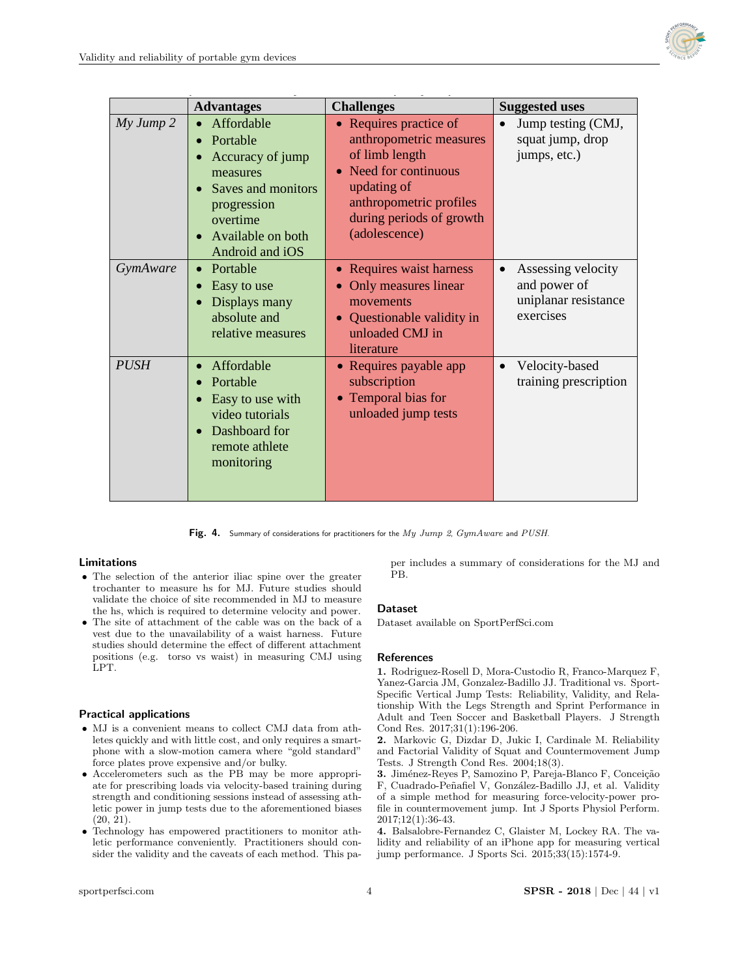

|                   | <b>Advantages</b>                                                                                                                               | <b>Challenges</b>                                                                                                                                                                              | <b>Suggested uses</b>                                                                |
|-------------------|-------------------------------------------------------------------------------------------------------------------------------------------------|------------------------------------------------------------------------------------------------------------------------------------------------------------------------------------------------|--------------------------------------------------------------------------------------|
| $My \, Jump \, 2$ | Affordable<br>Portable<br>Accuracy of jump<br>measures<br>Saves and monitors<br>progression<br>overtime<br>Available on both<br>Android and iOS | • Requires practice of<br>anthropometric measures<br>of limb length<br>Need for continuous<br>$\bullet$<br>updating of<br>anthropometric profiles<br>during periods of growth<br>(adolescence) | Jump testing (CMJ,<br>$\bullet$<br>squat jump, drop<br>jumps, etc.)                  |
| GymAware          | Portable<br>Easy to use<br>Displays many<br>absolute and<br>relative measures                                                                   | • Requires waist harness<br>Only measures linear<br>movements<br>Questionable validity in<br>unloaded CMJ in<br>literature                                                                     | Assessing velocity<br>$\bullet$<br>and power of<br>uniplanar resistance<br>exercises |
| <b>PUSH</b>       | Affordable<br>$\bullet$<br>Portable<br>Easy to use with<br>video tutorials<br>Dashboard for<br>remote athlete<br>monitoring                     | • Requires payable app<br>subscription<br>Temporal bias for<br>$\bullet$<br>unloaded jump tests                                                                                                | Velocity-based<br>$\bullet$<br>training prescription                                 |

Fig. 4. Summary of considerations for practitioners for the  $My\ Jump$  2,  $GymAware$  and  $PUSH$ .

# Limitations

- The selection of the anterior iliac spine over the greater trochanter to measure hs for MJ. Future studies should validate the choice of site recommended in MJ to measure the hs, which is required to determine velocity and power.
- The site of attachment of the cable was on the back of a vest due to the unavailability of a waist harness. Future studies should determine the effect of different attachment positions (e.g. torso vs waist) in measuring CMJ using LPT.

# Practical applications

- MJ is a convenient means to collect CMJ data from athletes quickly and with little cost, and only requires a smartphone with a slow-motion camera where "gold standard" force plates prove expensive and/or bulky.
- Accelerometers such as the PB may be more appropriate for prescribing loads via velocity-based training during strength and conditioning sessions instead of assessing athletic power in jump tests due to the aforementioned biases (20, 21).
- Technology has empowered practitioners to monitor athletic performance conveniently. Practitioners should consider the validity and the caveats of each method. This pa-

per includes a summary of considerations for the MJ and PB.

### Dataset

Dataset available on [SportPerfSci.com](https://sportperfsci.com/)

### References

1. Rodriguez-Rosell D, Mora-Custodio R, Franco-Marquez F, Yanez-Garcia JM, Gonzalez-Badillo JJ. Traditional vs. Sport-Specific Vertical Jump Tests: Reliability, Validity, and Relationship With the Legs Strength and Sprint Performance in Adult and Teen Soccer and Basketball Players. J Strength Cond Res. 2017;31(1):196-206.

2. Markovic G, Dizdar D, Jukic I, Cardinale M. Reliability and Factorial Validity of Squat and Countermovement Jump Tests. J Strength Cond Res. 2004;18(3).

3. Jiménez-Reyes P, Samozino P, Pareja-Blanco F, Conceição F, Cuadrado-Peñafiel V, González-Badillo JJ, et al. Validity of a simple method for measuring force-velocity-power profile in countermovement jump. Int J Sports Physiol Perform. 2017;12(1):36-43.

4. Balsalobre-Fernandez C, Glaister M, Lockey RA. The validity and reliability of an iPhone app for measuring vertical jump performance. J Sports Sci. 2015;33(15):1574-9.